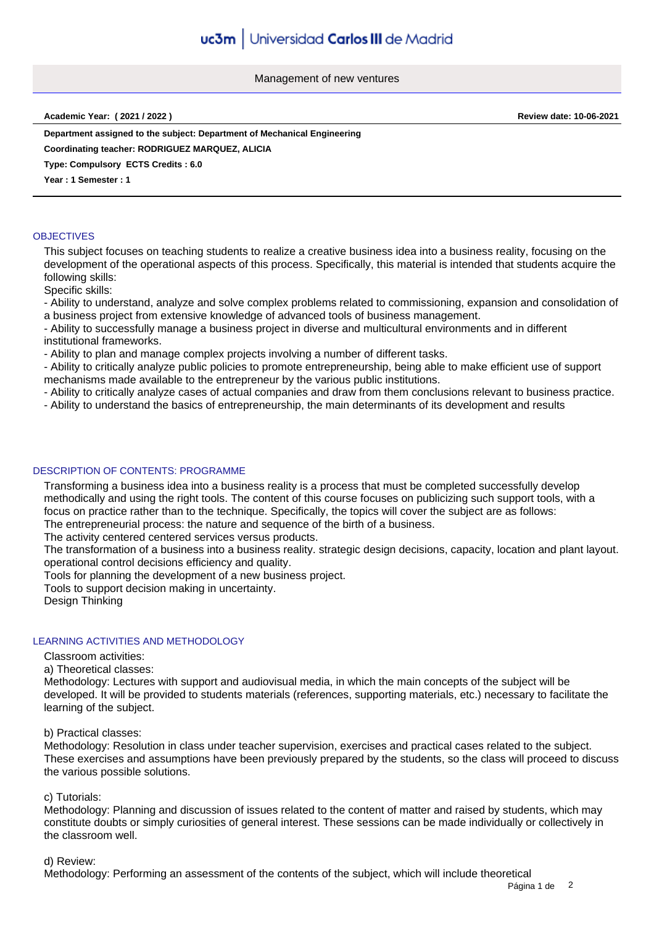Management of new ventures

**Academic Year: ( 2021 / 2022 ) Review date: 10-06-2021**

**Department assigned to the subject: Department of Mechanical Engineering**

**Coordinating teacher: RODRIGUEZ MARQUEZ, ALICIA**

**Type: Compulsory ECTS Credits : 6.0**

**Year : 1 Semester : 1**

#### **OBJECTIVES**

This subject focuses on teaching students to realize a creative business idea into a business reality, focusing on the development of the operational aspects of this process. Specifically, this material is intended that students acquire the following skills:

Specific skills:

- Ability to understand, analyze and solve complex problems related to commissioning, expansion and consolidation of a business project from extensive knowledge of advanced tools of business management.

- Ability to successfully manage a business project in diverse and multicultural environments and in different institutional frameworks.

- Ability to plan and manage complex projects involving a number of different tasks.

- Ability to critically analyze public policies to promote entrepreneurship, being able to make efficient use of support mechanisms made available to the entrepreneur by the various public institutions.

- Ability to critically analyze cases of actual companies and draw from them conclusions relevant to business practice.

- Ability to understand the basics of entrepreneurship, the main determinants of its development and results

# DESCRIPTION OF CONTENTS: PROGRAMME

Transforming a business idea into a business reality is a process that must be completed successfully develop methodically and using the right tools. The content of this course focuses on publicizing such support tools, with a focus on practice rather than to the technique. Specifically, the topics will cover the subject are as follows: The entrepreneurial process: the nature and sequence of the birth of a business.

The activity centered centered services versus products.

The transformation of a business into a business reality. strategic design decisions, capacity, location and plant layout. operational control decisions efficiency and quality.

Tools for planning the development of a new business project.

Tools to support decision making in uncertainty.

Design Thinking

# LEARNING ACTIVITIES AND METHODOLOGY

Classroom activities:

a) Theoretical classes:

Methodology: Lectures with support and audiovisual media, in which the main concepts of the subject will be developed. It will be provided to students materials (references, supporting materials, etc.) necessary to facilitate the learning of the subject.

b) Practical classes:

Methodology: Resolution in class under teacher supervision, exercises and practical cases related to the subject. These exercises and assumptions have been previously prepared by the students, so the class will proceed to discuss the various possible solutions.

# c) Tutorials:

Methodology: Planning and discussion of issues related to the content of matter and raised by students, which may constitute doubts or simply curiosities of general interest. These sessions can be made individually or collectively in the classroom well.

d) Review:

Methodology: Performing an assessment of the contents of the subject, which will include theoretical